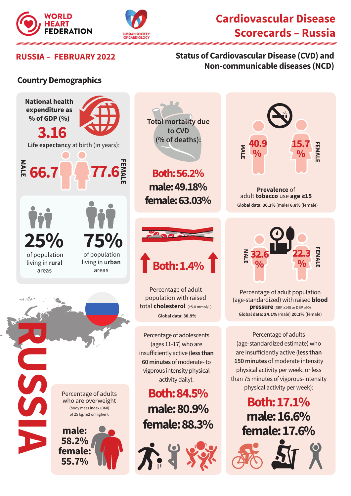



# **Cardiovascular Disease Scorecards – Russia**

### **RUSSIA – FEBRUARY 2022 Status of Cardiovascular Disease (CVD) and Non-communicable diseases (NCD)**

#### **Country Demographics**





**Prevalence** of adult **tobacco** use **age ≥15 Global data: 36.1%** (male) **6.8%** (female)



Percentage of adult population (age-standardized) with raised **blood pressure** (SBP ≥140 or DBP ≥90) **Global data: 24.1%** (male) **20.1%** (female)

Percentage of adults (age-standardized estimate) who are insufficiently active (**less than 150 minutes** of moderate intensity physical activity per week, or less than 75 minutes of vigorous-intensity physical activity per week):

> **Both: 17.1% male: 16.6% female: 17.6%**